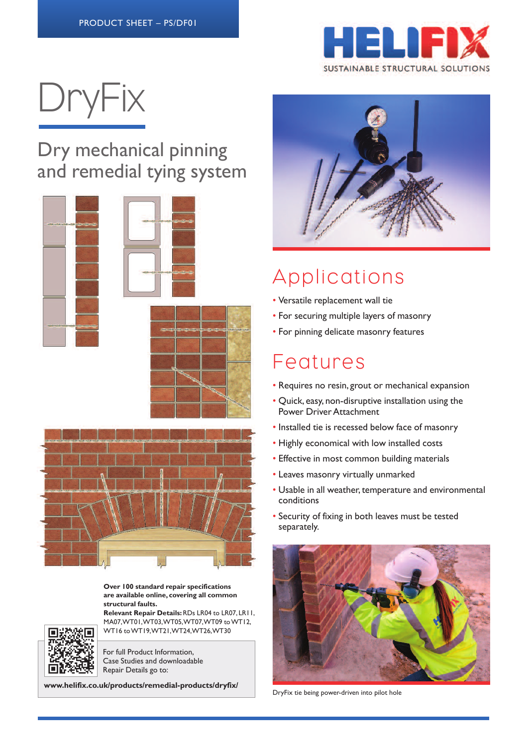

# DryFix

#### Dry mechanical pinning and remedial tying system







**Over 100 standard repair specifications are available online, covering all common structural faults.**

**Relevant Repair Details:**RDs LR04 to LR07, LR11, MA07,WT01,WT03,WT05,WT07,WT09 toWT12, WT16 toWT19,WT21,WT24,WT26,WT30



For full Product Information, Case Studies and downloadable Repair Details go to:

**www.helifix.co.uk/products/remedial-products/dryfix/**



## Applications

- Versatile replacement wall tie
- For securing multiple layers of masonry
- For pinning delicate masonry features

### Features

- Requires no resin, grout or mechanical expansion
- Quick, easy, non-disruptive installation using the Power Driver Attachment
- Installed tie is recessed below face of masonry
- Highly economical with low installed costs
- Effective in most common building materials
- Leaves masonry virtually unmarked
- Usable in all weather, temperature and environmental conditions
- Security of fixing in both leaves must be tested separately.



DryFix tie being power-driven into pilot hole